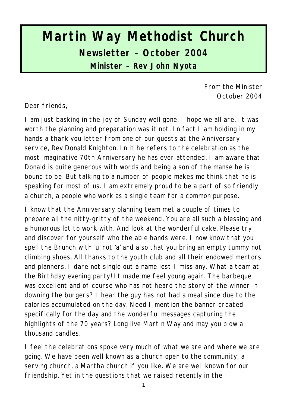# **Martin Way Methodist Church Newsletter – October 2004 Minister – Rev John Nyota**

From the Minister October 2004

Dear friends,

I am just basking in the joy of Sunday well gone. I hope we all are. It was worth the planning and preparation was it not. In fact I am holding in my hands a thank you letter from one of our guests at the Anniversary service, Rev Donald Knighton. In it he refers to the celebration as the most imaginative 70th Anniversary he has ever attended. I am aware that Donald is quite generous with words and being a son of the manse he is bound to be. But talking to a number of people makes me think that he is speaking for most of us. I am extremely proud to be a part of so friendly a church, a people who work as a single team for a common purpose.

I know that the Anniversary planning team met a couple of times to prepare all the nitty-gritty of the weekend. You are all such a blessing and a humorous lot to work with. And look at the wonderful cake. Please try and discover for yourself who the able hands were. I now know that you spell the Brunch with 'u' not 'a' and also that you bring an empty tummy not climbing shoes. All thanks to the youth club and all their endowed mentors and planners. I dare not single out a name lest I miss any. What a team at the Birthday evening party! It made me feel young again. The barbeque was excellent and of course who has not heard the story of the winner in downing the burgers? I hear the guy has not had a meal since due to the calories accumulated on the day. Need I mention the banner created specifically for the day and the wonderful messages capturing the highlights of the 70 years? Long live Martin Way and may you blow a thousand candles.

I feel the celebrations spoke very much of what we are and where we are going. We have been well known as a church open to the community, a serving church, a Martha church if you like. We are well known for our friendship. Yet in the questions that we raised recently in the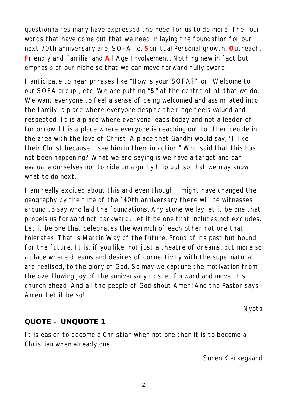questionnaires many have expressed the need for us to do more. The four words that have come out that we need in laying the foundation for our next 70th anniversary are, SOFA i.e. **S**piritual Personal growth, **O**utreach, **F**riendly and Familial and **A**ll Age Involvement. Nothing new in fact but emphasis of our niche so that we can move forward fully aware.

I anticipate to hear phrases like *"How is your SOFA?"*, or *"Welcome to our SOFA group*", etc. We are putting **"S"** at the centre of all that we do. We want everyone to feel a sense of being welcomed and assimilated into the family, a place where everyone despite their age feels valued and respected. It is a place where everyone leads today and not a leader of tomorrow. It is a place where everyone is reaching out to other people in the area with the love of Christ. A place that Gandhi would say, "I like their Christ because I see him in them in action." Who said that this has not been happening? What we are saying is we have a target and can evaluate ourselves not to ride on a guilty trip but so that we may know what to do next.

I am really excited about this and even though I might have changed the geography by the time of the 140th anniversary there will be witnesses around to say who laid the foundations. Any stone we lay let it be one that propels us forward not backward. Let it be one that includes not excludes. Let it be one that celebrates the warmth of each other not one that tolerates. That is Martin Way of the future. Proud of its past but bound for the future. It is, if you like, not just a theatre of dreams, but more so a place where dreams and desires of connectivity with the supernatural are realised, to the glory of God. So may we capture the motivation from the overflowing joy of the anniversary to step forward and move this church ahead. And all the people of God shout Amen! And the Pastor says Amen. Let it be so!

*Nyota*

#### **QUOTE – UNQUOTE 1**

It is easier to become a Christian when not one than it is to become a Christian when already one

*Soren Kierkegaard*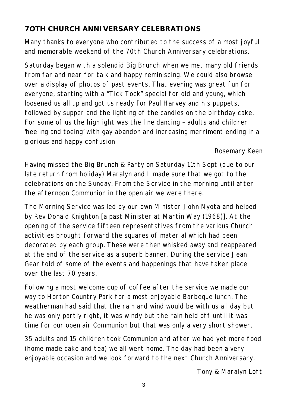# **7OTH CHURCH ANNIVERSARY CELEBRATIONS**

Many thanks to everyone who contributed to the success of a most joyful and memorable weekend of the 70th Church Anniversary celebrations.

Saturday began with a splendid Big Brunch when we met many old friends from far and near for talk and happy reminiscing. We could also browse over a display of photos of past events. That evening was great fun for everyone, starting with a "Tick Tock" special for old and young, which loosened us all up and got us ready for Paul Harvey and his puppets, followed by supper and the lighting of the candles on the birthday cake. For some of us the highlight was the line dancing – adults and children 'heeling and toeing' with gay abandon and increasing merriment ending in a glorious and happy confusion

#### *Rosemary Keen*

Having missed the Big Brunch & Party on Saturday 11th Sept (due to our late return from holiday) Maralyn and I made sure that we got to the celebrations on the Sunday. From the Service in the morning until after the afternoon Communion in the open air we were there.

The Morning Service was led by our own Minister John Nyota and helped by Rev Donald Knighton [a past Minister at Martin Way (1968)]. At the opening of the service fifteen representatives from the various Church activities brought forward the squares of material which had been decorated by each group. These were then whisked away and reappeared at the end of the service as a superb banner. During the service Jean Gear told of some of the events and happenings that have taken place over the last 70 years.

Following a most welcome cup of coffee after the service we made our way to Horton Country Park for a most enjoyable Barbeque lunch. The weatherman had said that the rain and wind would be with us all day but he was only partly right, it was windy but the rain held off until it was time for our open air Communion but that was only a very short shower.

35 adults and 15 children took Communion and after we had yet more food (home made cake and tea) we all went home. The day had been a very enjoyable occasion and we look forward to the next Church Anniversary.

*Tony & Maralyn Loft*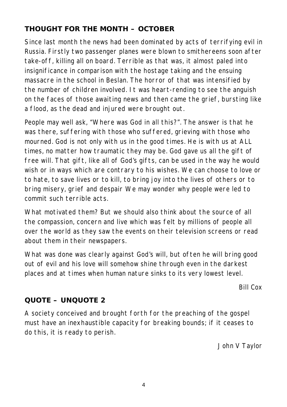# **THOUGHT FOR THE MONTH – OCTOBER**

Since last month the news had been dominated by acts of terrifying evil in Russia. Firstly two passenger planes were blown to smithereens soon after take-off, killing all on board. Terrible as that was, it almost paled into insignificance in comparison with the hostage taking and the ensuing massacre in the school in Beslan. The horror of that was intensified by the number of children involved. It was heart-rending to see the anguish on the faces of those awaiting news and then came the grief, bursting like a flood, as the dead and injured were brought out.

People may well ask, "Where was God in all this?". The answer is that he was there, suffering with those who suffered, grieving with those who mourned. God is not only with us in the good times. He is with us at ALL times, no matter how traumatic they may be. God gave us all the gift of free will. That gift, like all of God's gifts, can be used in the way he would wish or in ways which are contrary to his wishes. We can choose to love or to hate, to save lives or to kill, to bring joy into the lives of others or to bring misery, grief and despair We may wonder why people were led to commit such terrible acts.

What motivated them? But we should also think about the source of all the compassion, concern and live which was felt by millions of people all over the world as they saw the events on their television screens or read about them in their newspapers.

What was done was clearly against God's will, but often he will bring good out of evil and his love will somehow shine through even in the darkest places and at times when human nature sinks to its very lowest level.

*Bill Cox*

## **QUOTE – UNQUOTE 2**

A society conceived and brought forth for the preaching of the gospel must have an inexhaustible capacity for breaking bounds; if it ceases to do this, it is ready to perish.

*John V Taylor*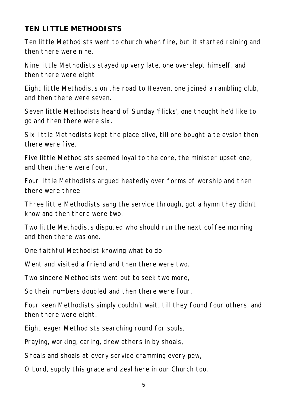## **TEN LITTLE METHODISTS**

Ten little Methodists went to church when fine, but it started raining and then there were nine.

Nine little Methodists stayed up very late, one overslept himself, and then there were eight

Eight little Methodists on the road to Heaven, one joined a rambling club, and then there were seven.

Seven little Methodists heard of Sunday 'flicks', one thought he'd like to go and then there were six.

Six little Methodists kept the place alive, till one bought a televsion then there were five.

Five little Methodists seemed loyal to the core, the minister upset one, and then there were four,

Four little Methodists argued heatedly over forms of worship and then there were three

Three little Methodists sang the service through, got a hymn they didn't know and then there were two.

Two little Methodists disputed who should run the next coffee morning and then there was one.

One faithful Methodist knowing what to do

Went and visited a friend and then there were two.

Two sincere Methodists went out to seek two more,

So their numbers doubled and then there were four.

Four keen Methodists simply couldn't wait, till they found four others, and then there were eight.

Eight eager Methodists searching round for souls,

Praying, working, caring, drew others in by shoals,

Shoals and shoals at every service cramming every pew,

O Lord, supply this grace and zeal here in our Church too.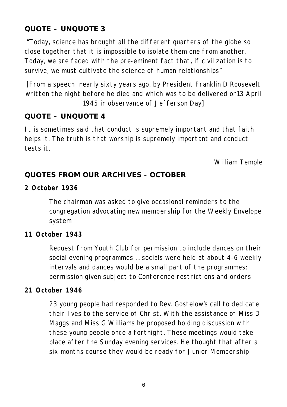# **QUOTE – UNQUOTE 3**

 "Today, science has brought all the different quarters of the globe so close together that it is impossible to isolate them one from another. Today, we are faced with the pre-eminent fact that, if civilization is to survive, we must cultivate the science of human relationships"

*[From a speech, nearly sixty years ago, by President Franklin D Roosevelt written the night before he died and which was to be delivered on13 April 1945 in observance of Jefferson Day]*

#### **QUOTE – UNQUOTE 4**

It is sometimes said that conduct is supremely important and that faith helps it. The truth is that worship is supremely important and conduct tests it.

*William Temple*

## **QUOTES FROM OUR ARCHIVES - OCTOBER**

**2 October 1936**

The chairman was asked to give occasional reminders to the congregation advocating new membership for the Weekly Envelope system

#### **11 October 1943**

Request from Youth Club for permission to include dances on their social evening programmes … socials were held at about 4-6 weekly intervals and dances would be a small part of the programmes: permission given subject to Conference restrictions and orders

#### **21 October 1946**

23 young people had responded to Rev. Gostelow's call to dedicate their lives to the service of Christ. With the assistance of Miss D Maggs and Miss G Williams he proposed holding discussion with these young people once a fortnight. These meetings would take place after the Sunday evening services. He thought that after a six months course they would be ready for Junior Membership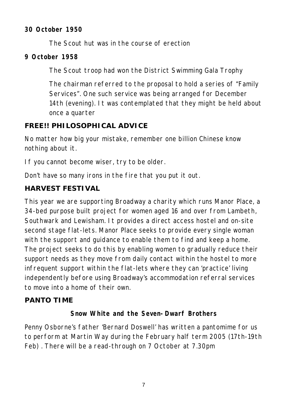#### **30 October 1950**

The Scout hut was in the course of erection

#### **9 October 1958**

The Scout troop had won the District Swimming Gala Trophy

The chairman referred to the proposal to hold a series of "Family Services". One such service was being arranged for December 14th (evening). It was contemplated that they might be held about once a quarter

## **FREE!! PHILOSOPHICAL ADVICE**

No matter how big your mistake, remember one billion Chinese know nothing about it.

If you cannot become wiser, try to be older.

Don't have so many irons in the fire that you put it out.

## **HARVEST FESTIVAL**

This year we are supporting Broadway a charity which runs Manor Place, a 34-bed purpose built project for women aged 16 and over from Lambeth, Southwark and Lewisham. It provides a direct access hostel and on-site second stage flat-lets. Manor Place seeks to provide every single woman with the support and guidance to enable them to find and keep a home. The project seeks to do this by enabling women to gradually reduce their support needs as they move from daily contact within the hostel to more infrequent support within the flat-lets where they can 'practice' living independently before using Broadway's accommodation referral services to move into a home of their own.

## **PANTO TIME**

## **Snow White and the Seven-Dwarf Brothers**

Penny Osborne's father 'Bernard Doswell' has written a pantomime for us to perform at Martin Way during the February half term 2005 (17th-19th Feb) . There will be a read-through on 7 October at 7.30pm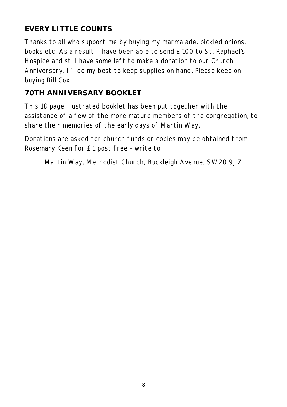# **EVERY LITTLE COUNTS**

Thanks to all who support me by buying my marmalade, pickled onions, books etc, As a result I have been able to send £100 to St. Raphael's Hospice and still have some left to make a donation to our Church Anniversary. I'll do my best to keep supplies on hand. Please keep on buying!Bill Cox

# **70TH ANNIVERSARY BOOKLET**

This 18 page illustrated booklet has been put together with the assistance of a few of the more mature members of the congregation, to share their memories of the early days of Martin Way.

Donations are asked for church funds or copies may be obtained from Rosemary Keen for £1 post free – write to

Martin Way, Methodist Church, Buckleigh Avenue, SW20 9JZ